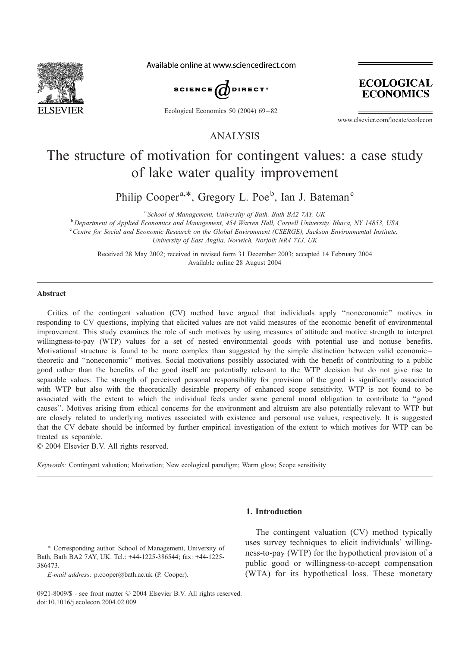

Available online at www.sciencedirect.com



Ecological Economics 50 (2004) 69-82



www.elsevier.com/locate/ecolecon

ANALYSIS

# The structure of motivation for contingent values: a case study of lake water quality improvement

Philip Cooper<sup>a,\*</sup>, Gregory L. Poe<sup>b</sup>, Ian J. Bateman<sup>c</sup>

<sup>a</sup> School of Management, University of Bath, Bath BA2 7AY, UK  $b$  Department of Applied Economics and Management, 454 Warren Hall, Cornell University, Ithaca, NY 14853, USA <sup>c</sup> Centre for Social and Economic Research on the Global Environment (CSERGE), Jackson Environmental Institute, University of East Anglia, Norwich, Norfolk NR4 7TJ, UK

Received 28 May 2002; received in revised form 31 December 2003; accepted 14 February 2004 Available online 28 August 2004

#### Abstract

Critics of the contingent valuation (CV) method have argued that individuals apply ''noneconomic'' motives in responding to CV questions, implying that elicited values are not valid measures of the economic benefit of environmental improvement. This study examines the role of such motives by using measures of attitude and motive strength to interpret willingness-to-pay (WTP) values for a set of nested environmental goods with potential use and nonuse benefits. Motivational structure is found to be more complex than suggested by the simple distinction between valid economic – theoretic and ''noneconomic'' motives. Social motivations possibly associated with the benefit of contributing to a public good rather than the benefits of the good itself are potentially relevant to the WTP decision but do not give rise to separable values. The strength of perceived personal responsibility for provision of the good is significantly associated with WTP but also with the theoretically desirable property of enhanced scope sensitivity. WTP is not found to be associated with the extent to which the individual feels under some general moral obligation to contribute to ''good causes''. Motives arising from ethical concerns for the environment and altruism are also potentially relevant to WTP but are closely related to underlying motives associated with existence and personal use values, respectively. It is suggested that the CV debate should be informed by further empirical investigation of the extent to which motives for WTP can be treated as separable.

 $© 2004 Elsevier B.V. All rights reserved.$ 

Keywords: Contingent valuation; Motivation; New ecological paradigm; Warm glow; Scope sensitivity

## 1. Introduction

<sup>\*</sup> Corresponding author. School of Management, University of Bath, Bath BA2 7AY, UK. Tel.: +44-1225-386544; fax: +44-1225- 386473.

E-mail address: p.cooper@bath.ac.uk (P. Cooper).

The contingent valuation (CV) method typically uses survey techniques to elicit individuals' willingness-to-pay (WTP) for the hypothetical provision of a public good or willingness-to-accept compensation (WTA) for its hypothetical loss. These monetary

<sup>0921-8009/\$ -</sup> see front matter © 2004 Elsevier B.V. All rights reserved. doi:10.1016/j.ecolecon.2004.02.009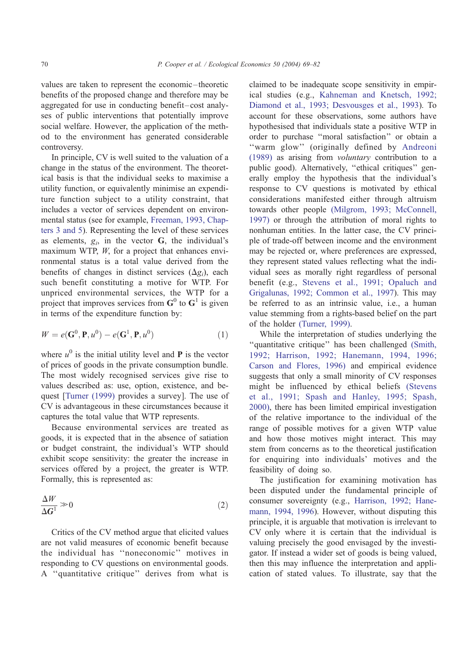values are taken to represent the economic –theoretic benefits of the proposed change and therefore may be aggregated for use in conducting benefit–cost analyses of public interventions that potentially improve social welfare. However, the application of the method to the environment has generated considerable controversy.

In principle, CV is well suited to the valuation of a change in the status of the environment. The theoretical basis is that the individual seeks to maximise a utility function, or equivalently minimise an expenditure function subject to a utility constraint, that includes a vector of services dependent on environmental status (see for example, [Freeman, 1993, Chap](#page-12-0)ters 3 and 5). Representing the level of these services as elements,  $g_i$ , in the vector G, the individual's maximum WTP,  $W$ , for a project that enhances environmental status is a total value derived from the benefits of changes in distinct services  $(\Delta g_i)$ , each such benefit constituting a motive for WTP. For unpriced environmental services, the WTP for a project that improves services from  $G^0$  to  $G^1$  is given in terms of the expenditure function by:

$$
W = e(\mathbf{G}^0, \mathbf{P}, u^0) - e(\mathbf{G}^1, \mathbf{P}, u^0)
$$
 (1)

where  $u^0$  is the initial utility level and **P** is the vector of prices of goods in the private consumption bundle. The most widely recognised services give rise to values described as: use, option, existence, and bequest [\[Turner \(1999\)](#page-13-0) provides a survey]. The use of CV is advantageous in these circumstances because it captures the total value that WTP represents.

Because environmental services are treated as goods, it is expected that in the absence of satiation or budget constraint, the individual's WTP should exhibit scope sensitivity: the greater the increase in services offered by a project, the greater is WTP. Formally, this is represented as:

$$
\frac{\Delta W}{\Delta G^1} \gg 0 \tag{2}
$$

Critics of the CV method argue that elicited values are not valid measures of economic benefit because the individual has ''noneconomic'' motives in responding to CV questions on environmental goods. A ''quantitative critique'' derives from what is claimed to be inadequate scope sensitivity in empirical studies (e.g., [Kahneman and Knetsch, 1992;](#page-13-0) Diamond et al., 1993; Desvousges et al., 1993). To account for these observations, some authors have hypothesised that individuals state a positive WTP in order to purchase ''moral satisfaction'' or obtain a ''warm glow'' (originally defined by [Andreoni](#page-12-0) (1989) as arising from voluntary contribution to a public good). Alternatively, ''ethical critiques'' generally employ the hypothesis that the individual's response to CV questions is motivated by ethical considerations manifested either through altruism towards other people [\(Milgrom, 1993; McConnell,](#page-13-0) 1997) or through the attribution of moral rights to nonhuman entities. In the latter case, the CV principle of trade-off between income and the environment may be rejected or, where preferences are expressed, they represent stated values reflecting what the individual sees as morally right regardless of personal benefit (e.g., [Stevens et al., 1991; Opaluch and](#page-13-0) Grigalunas, 1992; Common et al., 1997). This may be referred to as an intrinsic value, i.e., a human value stemming from a rights-based belief on the part of the holder [\(Turner, 1999\).](#page-13-0)

While the interpretation of studies underlying the "quantitative critique" has been challenged [\(Smith,](#page-13-0) 1992; Harrison, 1992; Hanemann, 1994, 1996; Carson and Flores, 1996) and empirical evidence suggests that only a small minority of CV responses might be influenced by ethical beliefs [\(Stevens](#page-13-0) et al., 1991; Spash and Hanley, 1995; Spash, 2000), there has been limited empirical investigation of the relative importance to the individual of the range of possible motives for a given WTP value and how those motives might interact. This may stem from concerns as to the theoretical justification for enquiring into individuals' motives and the feasibility of doing so.

The justification for examining motivation has been disputed under the fundamental principle of consumer sovereignty (e.g., [Harrison, 1992; Hane](#page-13-0)mann, 1994, 1996). However, without disputing this principle, it is arguable that motivation is irrelevant to CV only where it is certain that the individual is valuing precisely the good envisaged by the investigator. If instead a wider set of goods is being valued, then this may influence the interpretation and application of stated values. To illustrate, say that the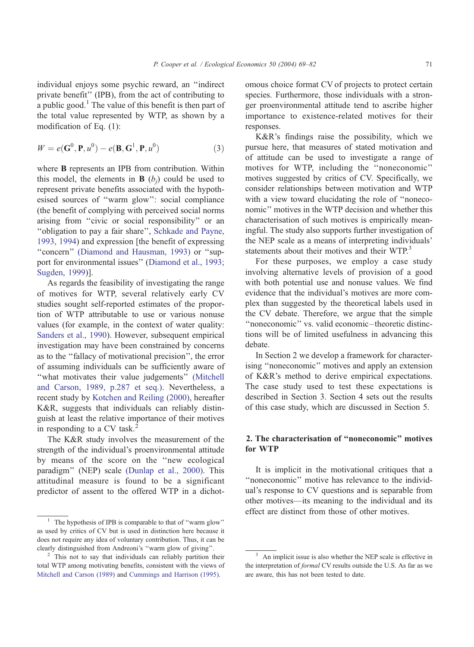individual enjoys some psychic reward, an ''indirect private benefit'' (IPB), from the act of contributing to a public good.<sup>1</sup> The value of this benefit is then part of the total value represented by WTP, as shown by a modification of Eq. (1):

$$
W = e(\mathbf{G}^0, \mathbf{P}, u^0) - e(\mathbf{B}, \mathbf{G}^1, \mathbf{P}, u^0)
$$
 (3)

where **B** represents an IPB from contribution. Within this model, the elements in  $\bf{B}$  (b<sub>i</sub>) could be used to represent private benefits associated with the hypothesised sources of ''warm glow'': social compliance (the benefit of complying with perceived social norms arising from ''civic or social responsibility'' or an ''obligation to pay a fair share'', [Schkade and Payne,](#page-13-0) 1993, 1994) and expression [the benefit of expressing ''concern'' [\(Diamond and Hausman, 1993\)](#page-12-0) or ''support for environmental issues'' ([Diamond et al., 1993;](#page-12-0) Sugden, 1999)].

As regards the feasibility of investigating the range of motives for WTP, several relatively early CV studies sought self-reported estimates of the proportion of WTP attributable to use or various nonuse values (for example, in the context of water quality: [Sanders et al., 1990\)](#page-13-0). However, subsequent empirical investigation may have been constrained by concerns as to the ''fallacy of motivational precision'', the error of assuming individuals can be sufficiently aware of ''what motivates their value judgements'' [\(Mitchell](#page-13-0) and Carson, 1989, p.287 et seq.). Nevertheless, a recent study by [Kotchen and Reiling \(2000\),](#page-13-0) hereafter K&R, suggests that individuals can reliably distinguish at least the relative importance of their motives in responding to a CV task.<sup>2</sup>

The K&R study involves the measurement of the strength of the individual's proenvironmental attitude by means of the score on the ''new ecological paradigm'' (NEP) scale [\(Dunlap et al., 2000\).](#page-12-0) This attitudinal measure is found to be a significant predictor of assent to the offered WTP in a dichotomous choice format CV of projects to protect certain species. Furthermore, those individuals with a stronger proenvironmental attitude tend to ascribe higher importance to existence-related motives for their responses.

K&R's findings raise the possibility, which we pursue here, that measures of stated motivation and of attitude can be used to investigate a range of motives for WTP, including the ''noneconomic'' motives suggested by critics of CV. Specifically, we consider relationships between motivation and WTP with a view toward elucidating the role of ''noneconomic'' motives in the WTP decision and whether this characterisation of such motives is empirically meaningful. The study also supports further investigation of the NEP scale as a means of interpreting individuals' statements about their motives and their WTP.<sup>3</sup>

For these purposes, we employ a case study involving alternative levels of provision of a good with both potential use and nonuse values. We find evidence that the individual's motives are more complex than suggested by the theoretical labels used in the CV debate. Therefore, we argue that the simple ''noneconomic'' vs. valid economic –theoretic distinctions will be of limited usefulness in advancing this debate.

In Section 2 we develop a framework for characterising ''noneconomic'' motives and apply an extension of K&R's method to derive empirical expectations. The case study used to test these expectations is described in Section 3. Section 4 sets out the results of this case study, which are discussed in Section 5.

## 2. The characterisation of ''noneconomic'' motives for WTP

It is implicit in the motivational critiques that a ''noneconomic'' motive has relevance to the individual's response to CV questions and is separable from other motives—its meaning to the individual and its effect are distinct from those of other motives.

<sup>&</sup>lt;sup>1</sup> The hypothesis of IPB is comparable to that of "warm glow" as used by critics of CV but is used in distinction here because it does not require any idea of voluntary contribution. Thus, it can be clearly distinguished from Andreoni's ''warm glow of giving''.

<sup>&</sup>lt;sup>2</sup> This not to say that individuals can reliably partition their total WTP among motivating benefits, consistent with the views of [Mitchell and Carson \(1989\)](#page-13-0) and [Cummings and Harrison \(1995\).](#page-12-0)

An implicit issue is also whether the NEP scale is effective in the interpretation of formal CV results outside the U.S. As far as we are aware, this has not been tested to date.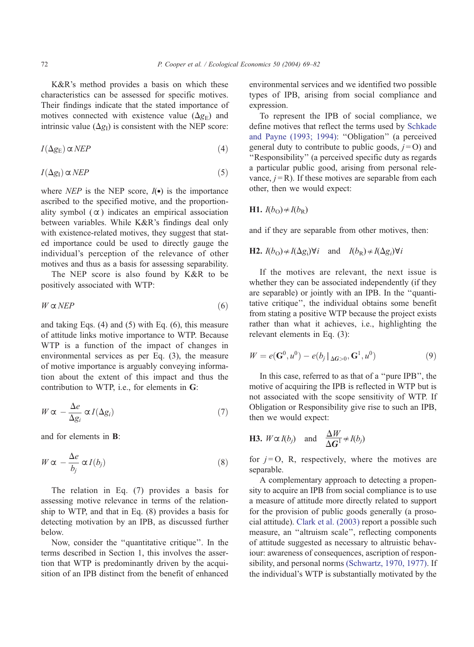K&R's method provides a basis on which these characteristics can be assessed for specific motives. Their findings indicate that the stated importance of motives connected with existence value  $(\Delta g_E)$  and intrinsic value  $(\Delta g_I)$  is consistent with the NEP score:

$$
I(\Delta g_{\rm E}) \propto NEP \tag{4}
$$

$$
I(\Delta g_I) \propto NEP \tag{5}
$$

where *NEP* is the NEP score,  $I(\bullet)$  is the importance ascribed to the specified motive, and the proportionality symbol  $(\alpha)$  indicates an empirical association between variables. While K&R's findings deal only with existence-related motives, they suggest that stated importance could be used to directly gauge the individual's perception of the relevance of other motives and thus as a basis for assessing separability.

The NEP score is also found by K&R to be positively associated with WTP:

$$
W \propto NEP \tag{6}
$$

and taking Eqs. (4) and (5) with Eq. (6), this measure of attitude links motive importance to WTP. Because WTP is a function of the impact of changes in environmental services as per Eq. (3), the measure of motive importance is arguably conveying information about the extent of this impact and thus the contribution to WTP, i.e., for elements in G:

$$
W \propto -\frac{\Delta e}{\Delta g_i} \propto I(\Delta g_i) \tag{7}
$$

and for elements in B:

$$
W \propto -\frac{\Delta e}{b_j} \propto I(b_j) \tag{8}
$$

The relation in Eq. (7) provides a basis for assessing motive relevance in terms of the relationship to WTP, and that in Eq. (8) provides a basis for detecting motivation by an IPB, as discussed further below.

Now, consider the ''quantitative critique''. In the terms described in Section 1, this involves the assertion that WTP is predominantly driven by the acquisition of an IPB distinct from the benefit of enhanced environmental services and we identified two possible types of IPB, arising from social compliance and expression.

To represent the IPB of social compliance, we define motives that reflect the terms used by [Schkade](#page-13-0) and Payne (1993; 1994): ''Obligation'' (a perceived general duty to contribute to public goods,  $j=O$ ) and ''Responsibility'' (a perceived specific duty as regards a particular public good, arising from personal relevance,  $j = R$ ). If these motives are separable from each other, then we would expect:

$$
\mathbf{H1.} I(b_{\mathcal{O}}) \star I(b_{\mathcal{R}})
$$

and if they are separable from other motives, then:

**H2.** 
$$
I(b_O) \notin I(\Delta g_i) \forall i
$$
 and  $I(b_R) \notin I(\Delta g_i) \forall i$ 

If the motives are relevant, the next issue is whether they can be associated independently (if they are separable) or jointly with an IPB. In the ''quantitative critique'', the individual obtains some benefit from stating a positive WTP because the project exists rather than what it achieves, i.e., highlighting the relevant elements in Eq. (3):

$$
W = e(G^{0}, u^{0}) - e(b_{j} |_{\Delta G > 0}, G^{1}, u^{0})
$$
\n(9)

In this case, referred to as that of a ''pure IPB'', the motive of acquiring the IPB is reflected in WTP but is not associated with the scope sensitivity of WTP. If Obligation or Responsibility give rise to such an IPB, then we would expect:

**H3.** 
$$
W \propto I(b_j)
$$
 and  $\frac{\Delta W}{\Delta G^1} \propto I(b_j)$ 

for  $j=0$ , R, respectively, where the motives are separable.

A complementary approach to detecting a propensity to acquire an IPB from social compliance is to use a measure of attitude more directly related to support for the provision of public goods generally (a prosocial attitude). [Clark et al. \(2003\)](#page-12-0) report a possible such measure, an ''altruism scale'', reflecting components of attitude suggested as necessary to altruistic behaviour: awareness of consequences, ascription of responsibility, and personal norms [\(Schwartz, 1970, 1977\).](#page-13-0) If the individual's WTP is substantially motivated by the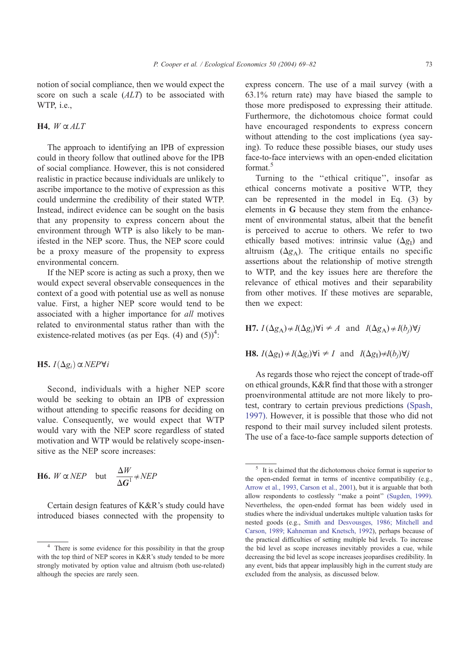notion of social compliance, then we would expect the score on such a scale  $(ALT)$  to be associated with WTP, i.e.,

## H4.  $W \alpha ALT$

The approach to identifying an IPB of expression could in theory follow that outlined above for the IPB of social compliance. However, this is not considered realistic in practice because individuals are unlikely to ascribe importance to the motive of expression as this could undermine the credibility of their stated WTP. Instead, indirect evidence can be sought on the basis that any propensity to express concern about the environment through WTP is also likely to be manifested in the NEP score. Thus, the NEP score could be a proxy measure of the propensity to express environmental concern.

If the NEP score is acting as such a proxy, then we would expect several observable consequences in the context of a good with potential use as well as nonuse value. First, a higher NEP score would tend to be associated with a higher importance for all motives related to environmental status rather than with the existence-related motives (as per Eqs. (4) and  $(5)$ <sup>4</sup>:

## H5.  $I(\Delta g_i) \propto NEP\forall i$

Second, individuals with a higher NEP score would be seeking to obtain an IPB of expression without attending to specific reasons for deciding on value. Consequently, we would expect that WTP would vary with the NEP score regardless of stated motivation and WTP would be relatively scope-insensitive as the NEP score increases:

**H6.** 
$$
W \propto NEP
$$
 but  $\frac{\Delta W}{\Delta G^1} \neq NEP$ 

Certain design features of K&R's study could have introduced biases connected with the propensity to

express concern. The use of a mail survey (with a 63.1% return rate) may have biased the sample to those more predisposed to expressing their attitude. Furthermore, the dichotomous choice format could have encouraged respondents to express concern without attending to the cost implications (yea saying). To reduce these possible biases, our study uses face-to-face interviews with an open-ended elicitation format<sup>5</sup>

Turning to the ''ethical critique'', insofar as ethical concerns motivate a positive WTP, they can be represented in the model in Eq. (3) by elements in G because they stem from the enhancement of environmental status, albeit that the benefit is perceived to accrue to others. We refer to two ethically based motives: intrinsic value  $(\Delta g_1)$  and altruism  $(\Delta g_A)$ . The critique entails no specific assertions about the relationship of motive strength to WTP, and the key issues here are therefore the relevance of ethical motives and their separability from other motives. If these motives are separable, then we expect:

H7.  $I(\Delta g_A) \notin I(\Delta g_i) \forall i \neq A$  and  $I(\Delta g_A) \notin I(b_i) \forall i$ 

**H8.**  $I(\Delta g_i) \neq I(\Delta g_i) \forall i \neq I$  and  $I(\Delta g_i) \neq I(b_i) \forall j$ 

As regards those who reject the concept of trade-off on ethical grounds, K&R find that those with a stronger proenvironmental attitude are not more likely to protest, contrary to certain previous predictions [\(Spash,](#page-13-0) 1997). However, it is possible that those who did not respond to their mail survey included silent protests. The use of a face-to-face sample supports detection of

<sup>&</sup>lt;sup>4</sup> There is some evidence for this possibility in that the group with the top third of NEP scores in K&R's study tended to be more strongly motivated by option value and altruism (both use-related) although the species are rarely seen.

 $5$  It is claimed that the dichotomous choice format is superior to the open-ended format in terms of incentive compatibility (e.g., [Arrow et al., 1993, Carson et al., 2001\)](#page-12-0), but it is arguable that both allow respondents to costlessly ''make a point'' [\(Sugden, 1999\).](#page-13-0) Nevertheless, the open-ended format has been widely used in studies where the individual undertakes multiple valuation tasks for nested goods (e.g., [Smith and Desvousges, 1986; Mitchell and](#page-13-0) Carson, 1989; Kahneman and Knetsch, 1992), perhaps because of the practical difficulties of setting multiple bid levels. To increase the bid level as scope increases inevitably provides a cue, while decreasing the bid level as scope increases jeopardises credibility. In any event, bids that appear implausibly high in the current study are excluded from the analysis, as discussed below.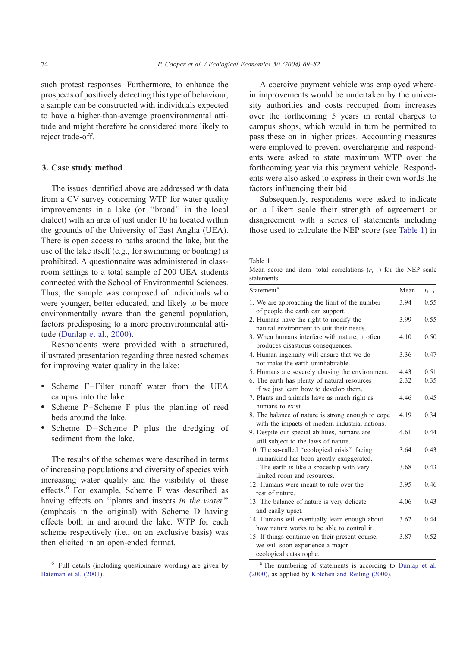<span id="page-5-0"></span>such protest responses. Furthermore, to enhance the prospects of positively detecting this type of behaviour, a sample can be constructed with individuals expected to have a higher-than-average proenvironmental attitude and might therefore be considered more likely to reject trade-off.

## 3. Case study method

The issues identified above are addressed with data from a CV survey concerning WTP for water quality improvements in a lake (or ''broad'' in the local dialect) with an area of just under 10 ha located within the grounds of the University of East Anglia (UEA). There is open access to paths around the lake, but the use of the lake itself (e.g., for swimming or boating) is prohibited. A questionnaire was administered in classroom settings to a total sample of 200 UEA students connected with the School of Environmental Sciences. Thus, the sample was composed of individuals who were younger, better educated, and likely to be more environmentally aware than the general population, factors predisposing to a more proenvironmental attitude [\(Dunlap et al., 2000\).](#page-12-0)

Respondents were provided with a structured, illustrated presentation regarding three nested schemes for improving water quality in the lake:

- Scheme F-Filter runoff water from the UEA campus into the lake.
- Scheme P-Scheme F plus the planting of reed beds around the lake.
- Scheme D-Scheme P plus the dredging of sediment from the lake.

The results of the schemes were described in terms of increasing populations and diversity of species with increasing water quality and the visibility of these effects.6 For example, Scheme F was described as having effects on "plants and insects in the water" (emphasis in the original) with Scheme D having effects both in and around the lake. WTP for each scheme respectively (i.e., on an exclusive basis) was then elicited in an open-ended format.

A coercive payment vehicle was employed wherein improvements would be undertaken by the university authorities and costs recouped from increases over the forthcoming 5 years in rental charges to campus shops, which would in turn be permitted to pass these on in higher prices. Accounting measures were employed to prevent overcharging and respondents were asked to state maximum WTP over the forthcoming year via this payment vehicle. Respondents were also asked to express in their own words the factors influencing their bid.

Subsequently, respondents were asked to indicate on a Likert scale their strength of agreement or disagreement with a series of statements including those used to calculate the NEP score (see Table 1) in

#### Table 1

Mean score and item-total correlations  $(r_{i-1})$  for the NEP scale statements

| Statement <sup>a</sup>                                                                                        | Mean | $r_{i-t}$ |
|---------------------------------------------------------------------------------------------------------------|------|-----------|
| 1. We are approaching the limit of the number<br>of people the earth can support.                             | 3.94 | 0.55      |
| 2. Humans have the right to modify the<br>natural environment to suit their needs.                            | 3.99 | 0.55      |
| 3. When humans interfere with nature, it often<br>produces disastrous consequences.                           | 4.10 | 0.50      |
| 4. Human ingenuity will ensure that we do<br>not make the earth uninhabitable.                                | 3.36 | 0.47      |
| 5. Humans are severely abusing the environment.                                                               | 4.43 | 0.51      |
| 6. The earth has plenty of natural resources<br>if we just learn how to develop them.                         | 2.32 | 0.35      |
| 7. Plants and animals have as much right as<br>humans to exist.                                               | 4.46 | 0.45      |
| 8. The balance of nature is strong enough to cope<br>with the impacts of modern industrial nations.           | 4.19 | 0.34      |
| 9. Despite our special abilities, humans are<br>still subject to the laws of nature.                          | 4.61 | 0.44      |
| 10. The so-called "ecological crisis" facing<br>humankind has been greatly exaggerated.                       | 3.64 | 0.43      |
| 11. The earth is like a spaceship with very<br>limited room and resources.                                    | 3.68 | 0.43      |
| 12. Humans were meant to rule over the<br>rest of nature                                                      | 3.95 | 046       |
| 13. The balance of nature is very delicate<br>and easily upset.                                               | 4.06 | 0.43      |
| 14. Humans will eventually learn enough about<br>how nature works to be able to control it.                   | 3.62 | 0.44      |
| 15. If things continue on their present course,<br>we will soon experience a major<br>ecological catastrophe. | 3.87 | 0.52      |

<sup>a</sup> [The numbering of statements is according to](#page-12-0) Dunlap et al. (2000), as applied by [Kotchen and Reiling \(2000\).](#page-13-0)

<sup>6</sup> Full details (including questionnaire wording) are given by [Bateman et al. \(2001\).](#page-12-0)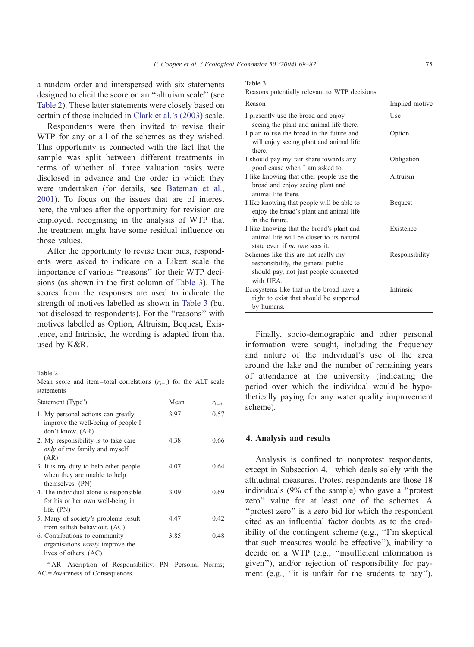<span id="page-6-0"></span>a random order and interspersed with six statements designed to elicit the score on an ''altruism scale'' (see Table 2). These latter statements were closely based on certain of those included in [Clark et al.'s \(2003\)](#page-12-0) scale.

Respondents were then invited to revise their WTP for any or all of the schemes as they wished. This opportunity is connected with the fact that the sample was split between different treatments in terms of whether all three valuation tasks were disclosed in advance and the order in which they were undertaken (for details, see [Bateman et al.,](#page-12-0) 2001). To focus on the issues that are of interest here, the values after the opportunity for revision are employed, recognising in the analysis of WTP that the treatment might have some residual influence on those values.

After the opportunity to revise their bids, respondents were asked to indicate on a Likert scale the importance of various "reasons" for their WTP decisions (as shown in the first column of Table 3). The scores from the responses are used to indicate the strength of motives labelled as shown in Table 3 (but not disclosed to respondents). For the ''reasons'' with motives labelled as Option, Altruism, Bequest, Existence, and Intrinsic, the wording is adapted from that used by K&R.

Table 2

Mean score and item-total correlations  $(r_{i-1})$  for the ALT scale statements

| Statement (Type <sup>a</sup> )                                                                    | Mean | $r_{i-t}$ |
|---------------------------------------------------------------------------------------------------|------|-----------|
| 1. My personal actions can greatly<br>improve the well-being of people I<br>don't know. (AR)      | 3.97 | 0.57      |
| 2. My responsibility is to take care<br><i>only</i> of my family and myself.<br>(AR)              | 4.38 | 0.66      |
| 3. It is my duty to help other people<br>when they are unable to help<br>themselves. (PN)         | 4.07 | 0.64      |
| 4. The individual alone is responsible.<br>for his or her own well-being in<br>life. $(PN)$       | 3.09 | 0.69      |
| 5. Many of society's problems result<br>from selfish behaviour. (AC)                              | 4.47 | 0.42      |
| 6. Contributions to community<br>organisations <i>rarely</i> improve the<br>lives of others. (AC) | 3.85 | 0.48      |

 $A^a$  AR = Ascription of Responsibility; PN = Personal Norms; AC = Awareness of Consequences.

| Table 3 |                           |  |  |
|---------|---------------------------|--|--|
|         | $D_{\text{total}} = 11.4$ |  |  |

| Reasons potentially relevant to WTP decisions |  |  |
|-----------------------------------------------|--|--|
|-----------------------------------------------|--|--|

| Reason                                                                                                                          | Implied motive |
|---------------------------------------------------------------------------------------------------------------------------------|----------------|
| I presently use the broad and enjoy<br>seeing the plant and animal life there.                                                  | Use            |
| I plan to use the broad in the future and<br>will enjoy seeing plant and animal life<br>there.                                  | Option         |
| I should pay my fair share towards any<br>good cause when I am asked to.                                                        | Obligation     |
| I like knowing that other people use the<br>broad and enjoy seeing plant and<br>animal life there.                              | Altruism       |
| I like knowing that people will be able to<br>enjoy the broad's plant and animal life<br>in the future                          | Bequest        |
| I like knowing that the broad's plant and<br>animal life will be closer to its natural<br>state even if no one sees it.         | Existence      |
| Schemes like this are not really my<br>responsibility, the general public<br>should pay, not just people connected<br>with UEA. | Responsibility |
| Ecosystems like that in the broad have a<br>right to exist that should be supported<br>by humans.                               | Intrinsic      |

Finally, socio-demographic and other personal information were sought, including the frequency and nature of the individual's use of the area around the lake and the number of remaining years of attendance at the university (indicating the period over which the individual would be hypothetically paying for any water quality improvement scheme).

#### 4. Analysis and results

Analysis is confined to nonprotest respondents, except in Subsection 4.1 which deals solely with the attitudinal measures. Protest respondents are those 18 individuals (9% of the sample) who gave a ''protest zero'' value for at least one of the schemes. A ''protest zero'' is a zero bid for which the respondent cited as an influential factor doubts as to the credibility of the contingent scheme (e.g., ''I'm skeptical that such measures would be effective''), inability to decide on a WTP (e.g., ''insufficient information is given''), and/or rejection of responsibility for payment (e.g., ''it is unfair for the students to pay'').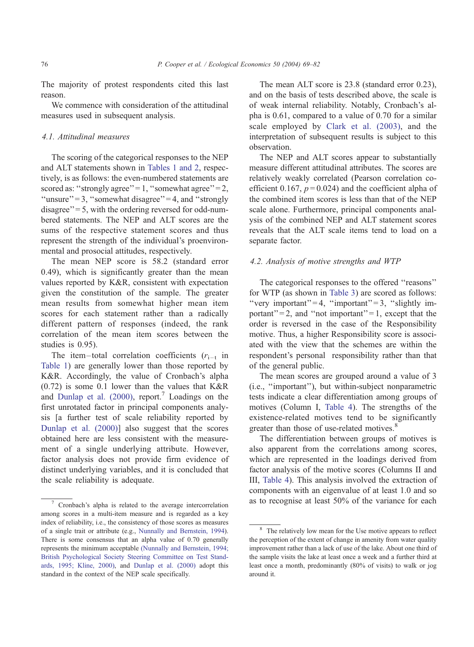The majority of protest respondents cited this last reason.

We commence with consideration of the attitudinal measures used in subsequent analysis.

## 4.1. Attitudinal measures

The scoring of the categorical responses to the NEP and ALT statements shown in [Tables 1 and 2,](#page-5-0) respectively, is as follows: the even-numbered statements are scored as: "strongly agree" = 1, "somewhat agree" = 2, "unsure" = 3, "somewhat disagree" = 4, and "strongly" disagree" = 5, with the ordering reversed for odd-numbered statements. The NEP and ALT scores are the sums of the respective statement scores and thus represent the strength of the individual's proenvironmental and prosocial attitudes, respectively.

The mean NEP score is 58.2 (standard error 0.49), which is significantly greater than the mean values reported by K&R, consistent with expectation given the constitution of the sample. The greater mean results from somewhat higher mean item scores for each statement rather than a radically different pattern of responses (indeed, the rank correlation of the mean item scores between the studies is 0.95).

The item-total correlation coefficients  $(r_{i-t}$  in [Table 1](#page-5-0)) are generally lower than those reported by K&R. Accordingly, the value of Cronbach's alpha (0.72) is some 0.1 lower than the values that K&R and [Dunlap et al. \(2000\),](#page-12-0) report.<sup>7</sup> Loadings on the first unrotated factor in principal components analysis [a further test of scale reliability reported by [Dunlap et al. \(2000\)\]](#page-12-0) also suggest that the scores obtained here are less consistent with the measurement of a single underlying attribute. However, factor analysis does not provide firm evidence of distinct underlying variables, and it is concluded that the scale reliability is adequate.

The mean ALT score is 23.8 (standard error 0.23), and on the basis of tests described above, the scale is of weak internal reliability. Notably, Cronbach's alpha is 0.61, compared to a value of 0.70 for a similar scale employed by [Clark et al. \(2003\),](#page-12-0) and the interpretation of subsequent results is subject to this observation.

The NEP and ALT scores appear to substantially measure different attitudinal attributes. The scores are relatively weakly correlated (Pearson correlation coefficient 0.167,  $p = 0.024$ ) and the coefficient alpha of the combined item scores is less than that of the NEP scale alone. Furthermore, principal components analysis of the combined NEP and ALT statement scores reveals that the ALT scale items tend to load on a separate factor.

## 4.2. Analysis of motive strengths and WTP

The categorical responses to the offered ''reasons'' for WTP (as shown in [Table 3\)](#page-6-0) are scored as follows: "very important" = 4, "important" = 3, "slightly important" = 2, and "not important" = 1, except that the order is reversed in the case of the Responsibility motive. Thus, a higher Responsibility score is associated with the view that the schemes are within the respondent's personal responsibility rather than that of the general public.

The mean scores are grouped around a value of 3 (i.e., ''important''), but within-subject nonparametric tests indicate a clear differentiation among groups of motives (Column I, [Table 4\)](#page-8-0). The strengths of the existence-related motives tend to be significantly greater than those of use-related motives.<sup>8</sup>

The differentiation between groups of motives is also apparent from the correlations among scores, which are represented in the loadings derived from factor analysis of the motive scores (Columns II and III, [Table 4\)](#page-8-0). This analysis involved the extraction of components with an eigenvalue of at least 1.0 and so  $\overline{1}$  cronbach's alpha is related to the average intercorrelation as to recognise at least 50% of the variance for each

among scores in a multi-item measure and is regarded as a key index of reliability, i.e., the consistency of those scores as measures of a single trait or attribute (e.g., [Nunnally and Bernstein, 1994\)](#page-13-0). There is some consensus that an alpha value of 0.70 generally represents the minimum acceptable [\(Nunnally and Bernstein, 1994;](#page-13-0) British Psychological Society Steering Committee on Test Standards, 1995; Kline, 2000), and [Dunlap et al. \(2000\)](#page-12-0) adopt this standard in the context of the NEP scale specifically.

The relatively low mean for the Use motive appears to reflect the perception of the extent of change in amenity from water quality improvement rather than a lack of use of the lake. About one third of the sample visits the lake at least once a week and a further third at least once a month, predominantly (80% of visits) to walk or jog around it.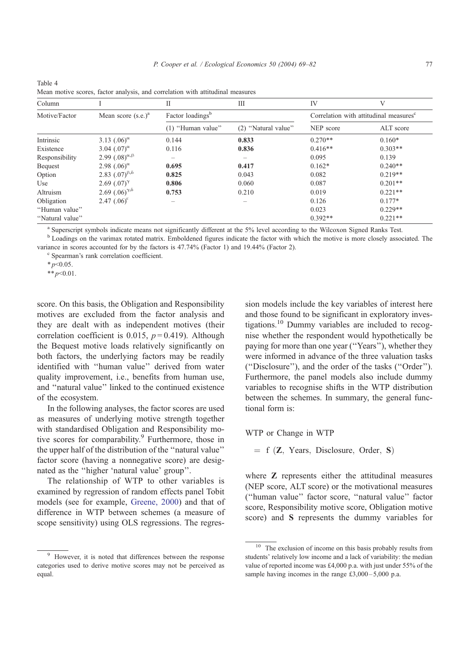| Column          |                              | П                            | Ш                        | IV                                                 | V         |
|-----------------|------------------------------|------------------------------|--------------------------|----------------------------------------------------|-----------|
| Motive/Factor   | Mean score $(s.e.)^a$        | Factor loadings <sup>b</sup> |                          | Correlation with attitudinal measures <sup>c</sup> |           |
|                 |                              | (1) "Human value"            | (2) "Natural value"      | NEP score                                          | ALT score |
| Intrinsic       | 3.13 $(.06)^{\alpha}$        | 0.144                        | 0.833                    | $0.270**$                                          | $0.160*$  |
| Existence       | 3.04 $(.07)^{\alpha}$        | 0.116                        | 0.836                    | $0.416**$                                          | $0.303**$ |
| Responsibility  | 2.99 $(.08)^{\alpha,\beta}$  |                              |                          | 0.095                                              | 0.139     |
| <b>Bequest</b>  | 2.98 $(.06)^{\alpha}$        | 0.695                        | 0.417                    | $0.162*$                                           | $0.240**$ |
| Option          | 2.83 $(.07)^{6.6}$           | 0.825                        | 0.043                    | 0.082                                              | $0.219**$ |
| Use             | 2.69 $(.07)^{\gamma}$        | 0.806                        | 0.060                    | 0.087                                              | $0.201**$ |
| Altruism        | 2.69 $(.06)^{\gamma,\delta}$ | 0.753                        | 0.210                    | 0.019                                              | $0.221**$ |
| Obligation      | 2.47 $(.06)^{\epsilon}$      | $\overline{\phantom{a}}$     | $\overline{\phantom{a}}$ | 0.126                                              | $0.177*$  |
| "Human value"   |                              |                              |                          | 0.023                                              | $0.229**$ |
| "Natural value" |                              |                              |                          | $0.392**$                                          | $0.221**$ |

Mean motive scores, factor analysis, and correlation with attitudinal measures

<sup>a</sup> Superscript symbols indicate means not significantly different at the 5% level according to the Wilcoxon Signed Ranks Test. <sup>b</sup> Loadings on the varimax rotated matrix. Emboldened figures indicate the factor with which the motive is more closely associated. The

variance in scores accounted for by the factors is 47.74% (Factor 1) and 19.44% (Factor 2).

<sup>c</sup> Spearman's rank correlation coefficient.

 $*_{p<0.05}$ .

<span id="page-8-0"></span>Table 4

 $**p<0.01$ .

score. On this basis, the Obligation and Responsibility motives are excluded from the factor analysis and they are dealt with as independent motives (their correlation coefficient is 0.015,  $p = 0.419$ ). Although the Bequest motive loads relatively significantly on both factors, the underlying factors may be readily identified with ''human value'' derived from water quality improvement, i.e., benefits from human use, and ''natural value'' linked to the continued existence of the ecosystem.

In the following analyses, the factor scores are used as measures of underlying motive strength together with standardised Obligation and Responsibility motive scores for comparability.<sup>9</sup> Furthermore, those in the upper half of the distribution of the ''natural value'' factor score (having a nonnegative score) are designated as the ''higher 'natural value' group''.

The relationship of WTP to other variables is examined by regression of random effects panel Tobit models (see for example, [Greene, 2000\)](#page-12-0) and that of difference in WTP between schemes (a measure of scope sensitivity) using OLS regressions. The regression models include the key variables of interest here and those found to be significant in exploratory investigations.<sup>10</sup> Dummy variables are included to recognise whether the respondent would hypothetically be paying for more than one year (''Years''), whether they were informed in advance of the three valuation tasks (''Disclosure''), and the order of the tasks (''Order''). Furthermore, the panel models also include dummy variables to recognise shifts in the WTP distribution between the schemes. In summary, the general functional form is:

WTP or Change in WTP

 $= f(Z, Years, Disclosure, Order, S)$ 

where **Z** represents either the attitudinal measures (NEP score, ALT score) or the motivational measures (''human value'' factor score, ''natural value'' factor score, Responsibility motive score, Obligation motive score) and S represents the dummy variables for

<sup>&</sup>lt;sup>9</sup> However, it is noted that differences between the response categories used to derive motive scores may not be perceived as equal.

<sup>&</sup>lt;sup>10</sup> The exclusion of income on this basis probably results from students' relatively low income and a lack of variability: the median value of reported income was £4,000 p.a. with just under 55% of the sample having incomes in the range  $£3,000 - 5,000$  p.a.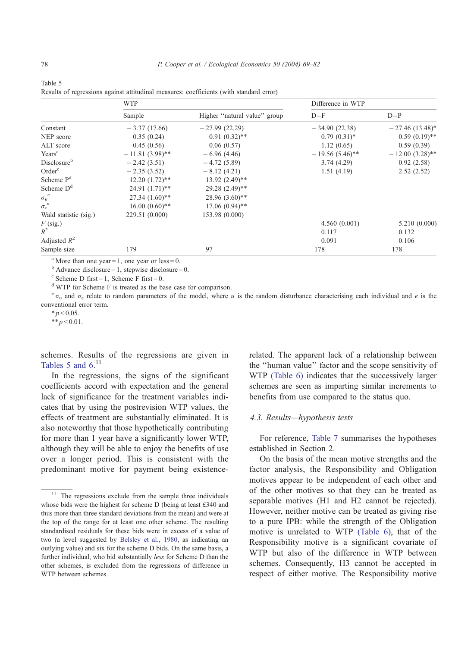|                         | <b>WTP</b>        |                              | Difference in WTP |                   |
|-------------------------|-------------------|------------------------------|-------------------|-------------------|
|                         | Sample            | Higher "natural value" group | $D-F$             | $D-P$             |
| Constant                | $-3.37(17.66)$    | $-27.99(22.29)$              | $-34.90(22.38)$   | $-27.46(13.48)$ * |
| NEP score               | 0.35(0.24)        | $0.91(0.32)$ **              | $0.79(0.31)*$     | $0.59(0.19)$ **   |
| ALT score               | 0.45(0.56)        | 0.06(0.57)                   | 1.12(0.65)        | 0.59(0.39)        |
| Years <sup>a</sup>      | $-11.81(3.98)$ ** | $-6.96(4.46)$                | $-19.56(5.46)$ ** | $-12.00(3.28)$ ** |
| Disclosure <sup>b</sup> | $-2.42(3.51)$     | $-4.72(5.89)$                | 3.74(4.29)        | 0.92(2.58)        |
| Order <sup>c</sup>      | $-2.35(3.52)$     | $-8.12(4.21)$                | 1.51(4.19)        | 2.52(2.52)        |
| Scheme P <sup>d</sup>   | $12.20(1.72)$ **  | $13.92 (2.49)$ **            |                   |                   |
| Scheme $Dd$             | $24.91(1.71)$ **  | 29.28 (2.49)**               |                   |                   |
| $\sigma_u^{\text{e}}$   | $27.34(1.60)$ **  | $28.96(3.60)$ **             |                   |                   |
| $\sigma_e^{\text{e}}$   | $16.00(0.60)$ **  | $17.06(0.94)$ **             |                   |                   |
| Wald statistic (sig.)   | 229.51 (0.000)    | 153.98 (0.000)               |                   |                   |
| $F$ (sig.)              |                   |                              | 4.560(0.001)      | 5.210 (0.000)     |
| $R^2$                   |                   |                              | 0.117             | 0.132             |
| Adjusted $R^2$          |                   |                              | 0.091             | 0.106             |
| Sample size             | 179               | 97                           | 178               | 178               |

<span id="page-9-0"></span>Table 5 Results of regressions against attitudinal measures: coefficients (with standard error)

<sup>a</sup> More than one year = 1, one year or less = 0.

 $<sup>b</sup>$  Advance disclosure = 1, stepwise disclosure = 0.</sup>

 $\text{c}$  Scheme D first = 1, Scheme F first = 0.

<sup>d</sup> WTP for Scheme F is treated as the base case for comparison.

 $^{\circ}$   $\sigma$ <sub>u</sub> and  $\sigma$ <sub>c</sub> relate to random parameters of the model, where u is the random disturbance characterising each individual and e is the conventional error term.

 $*_{p} < 0.05$ .

\*\* $p < 0.01$ .

schemes. Results of the regressions are given in Tables 5 and  $6.^{11}$ 

In the regressions, the signs of the significant coefficients accord with expectation and the general lack of significance for the treatment variables indicates that by using the postrevision WTP values, the effects of treatment are substantially eliminated. It is also noteworthy that those hypothetically contributing for more than 1 year have a significantly lower WTP, although they will be able to enjoy the benefits of use over a longer period. This is consistent with the predominant motive for payment being existencerelated. The apparent lack of a relationship between the ''human value'' factor and the scope sensitivity of WTP [\(Table 6\)](#page-10-0) indicates that the successively larger schemes are seen as imparting similar increments to benefits from use compared to the status quo.

#### 4.3. Results—hypothesis tests

For reference, [Table 7](#page-10-0) summarises the hypotheses established in Section 2.

On the basis of the mean motive strengths and the factor analysis, the Responsibility and Obligation motives appear to be independent of each other and of the other motives so that they can be treated as separable motives (H1 and H2 cannot be rejected). However, neither motive can be treated as giving rise to a pure IPB: while the strength of the Obligation motive is unrelated to WTP [\(Table 6\),](#page-10-0) that of the Responsibility motive is a significant covariate of WTP but also of the difference in WTP between schemes. Consequently, H3 cannot be accepted in respect of either motive. The Responsibility motive

<sup>&</sup>lt;sup>11</sup> The regressions exclude from the sample three individuals whose bids were the highest for scheme D (being at least £340 and thus more than three standard deviations from the mean) and were at the top of the range for at least one other scheme. The resulting standardised residuals for these bids were in excess of a value of two (a level suggested by [Belsley et al., 1980,](#page-12-0) as indicating an outlying value) and six for the scheme D bids. On the same basis, a further individual, who bid substantially less for Scheme D than the other schemes, is excluded from the regressions of difference in WTP between schemes.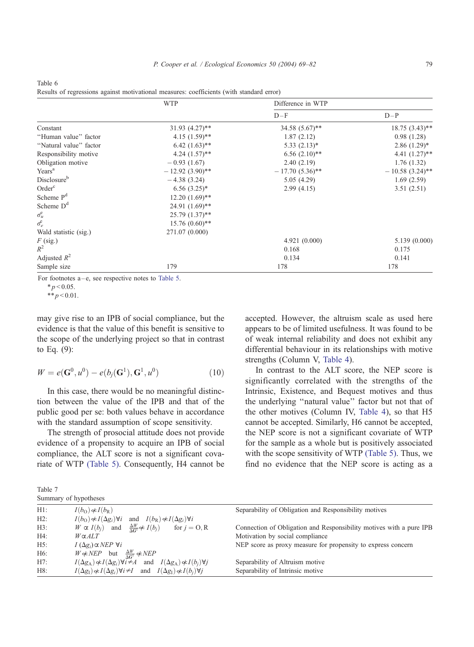|                          | <b>WTP</b>                    | Difference in WTP             |                             |
|--------------------------|-------------------------------|-------------------------------|-----------------------------|
|                          |                               | $D-F$                         | $D-P$                       |
| Constant                 | $31.93 (4.27)$ **             | $34.58(5.67)$ **              | $18.75(3.43)$ **            |
| "Human value" factor     | $4.15(1.59)$ **               | 1.87(2.12)                    | 0.98(1.28)                  |
| "Natural value" factor   | $6.42$ $(1.63)$ **            | $5.33(2.13)*$                 | $2.86(1.29)^*$              |
| Responsibility motive    | $4.24$ $(1.57)$ <sup>**</sup> | $6.56$ $(2.10)$ <sup>**</sup> | 4.41 $(1.27)$ <sup>**</sup> |
| Obligation motive        | $-0.93(1.67)$                 | 2.40(2.19)                    | 1.76(1.32)                  |
| Years <sup>a</sup>       | $-12.92(3.90)$ **             | $-17.70(5.36)$ **             | $-10.58(3.24)$ **           |
| Disclosure <sup>b</sup>  | $-4.38(3.24)$                 | 5.05(4.29)                    | 1.69(2.59)                  |
| Order <sup>c</sup>       | $6.56(3.25)^*$                | 2.99(4.15)                    | 3.51(2.51)                  |
| Scheme P <sup>d</sup>    | $12.20(1.69)$ **              |                               |                             |
| Scheme $Dd$              | $24.91 (1.69)$ **             |                               |                             |
| $\sigma_u^e$             | $25.79(1.37)$ **              |                               |                             |
| $\sigma_{\rm e}^{\rm e}$ | $15.76(0.60)$ **              |                               |                             |
| Wald statistic (sig.)    | 271.07 (0.000)                |                               |                             |
| $F$ (sig.)               |                               | 4.921(0.000)                  | 5.139(0.000)                |
| $R^2$                    |                               | 0.168                         | 0.175                       |
| Adjusted $R^2$           |                               | 0.134                         | 0.141                       |
| Sample size              | 179                           | 178                           | 178                         |

<span id="page-10-0"></span>Table 6 Results of regressions against motivational measures: coefficients (with standard error)

For footnotes  $a - e$ , see respective notes to Table 5.

 $* p < 0.05$ .

\*\* $p < 0.01$ .

may give rise to an IPB of social compliance, but the evidence is that the value of this benefit is sensitive to the scope of the underlying project so that in contrast to Eq. (9):

$$
W = e(G^{0}, u^{0}) - e(b_{j}(G^{1}), G^{1}, u^{0})
$$
\n(10)

In this case, there would be no meaningful distinction between the value of the IPB and that of the public good per se: both values behave in accordance with the standard assumption of scope sensitivity.

The strength of prosocial attitude does not provide evidence of a propensity to acquire an IPB of social compliance, the ALT score is not a significant covariate of WTP [\(Table 5\).](#page-9-0) Consequently, H4 cannot be

accepted. However, the altruism scale as used here appears to be of limited usefulness. It was found to be of weak internal reliability and does not exhibit any differential behaviour in its relationships with motive strengths (Column V, [Table 4\)](#page-8-0).

In contrast to the ALT score, the NEP score is significantly correlated with the strengths of the Intrinsic, Existence, and Bequest motives and thus the underlying ''natural value'' factor but not that of the other motives (Column IV, [Table 4\)](#page-8-0), so that H5 cannot be accepted. Similarly, H6 cannot be accepted, the NEP score is not a significant covariate of WTP for the sample as a whole but is positively associated with the scope sensitivity of WTP [\(Table 5\).](#page-9-0) Thus, we find no evidence that the NEP score is acting as a

| Table 7 |                       |
|---------|-----------------------|
|         | Summary of hypotheses |

| $H1$ : | $I(b_0) \notin I(b_R)$                                                                                        | Separability of Obligation and Responsibility motives               |
|--------|---------------------------------------------------------------------------------------------------------------|---------------------------------------------------------------------|
| $H2$ : | $I(b_{\Omega}) \notin I(\Delta g_i) \forall i$ and $I(b_{\mathbb{R}}) \notin I(\Delta g_i) \forall i$         |                                                                     |
| H3:    | $W \propto I(b_i)$ and $\frac{\Delta W}{\Delta G^1} \not\propto I(b_i)$<br>for $j = 0, R$                     | Connection of Obligation and Responsibility motives with a pure IPB |
| H4:    | $W\alpha ALT$                                                                                                 | Motivation by social compliance                                     |
| H5:    | $I(\Delta g_i) \alpha NEP \forall i$                                                                          | NEP score as proxy measure for propensity to express concern        |
| H6:    | $W \notin NEP$ but $\frac{\Delta W}{\Delta G^1} \notin NEP$                                                   |                                                                     |
| H7:    | $I(\Delta g_{\rm A}) \notin I(\Delta g_i) \forall i \neq A$ and $I(\Delta g_{\rm A}) \notin I(b_i) \forall j$ | Separability of Altruism motive                                     |
| H8:    | $I(\Delta g_I) \notin I(\Delta g_i) \forall i \neq I$ and $I(\Delta g_I) \notin I(b_i) \forall i$             | Separability of Intrinsic motive                                    |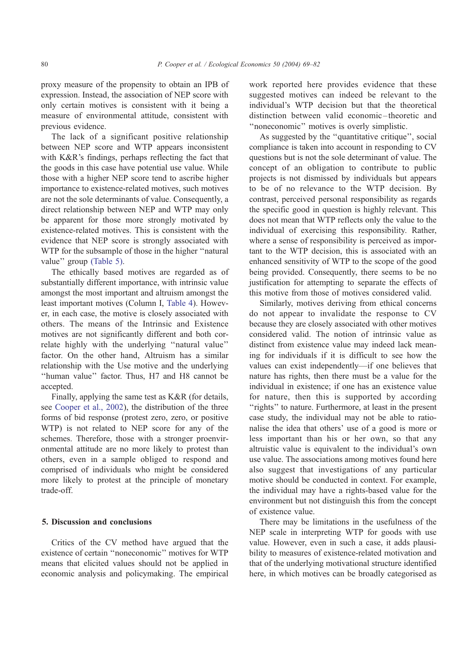proxy measure of the propensity to obtain an IPB of expression. Instead, the association of NEP score with only certain motives is consistent with it being a measure of environmental attitude, consistent with previous evidence.

The lack of a significant positive relationship between NEP score and WTP appears inconsistent with K&R's findings, perhaps reflecting the fact that the goods in this case have potential use value. While those with a higher NEP score tend to ascribe higher importance to existence-related motives, such motives are not the sole determinants of value. Consequently, a direct relationship between NEP and WTP may only be apparent for those more strongly motivated by existence-related motives. This is consistent with the evidence that NEP score is strongly associated with WTP for the subsample of those in the higher ''natural value" group [\(Table 5\).](#page-9-0)

The ethically based motives are regarded as of substantially different importance, with intrinsic value amongst the most important and altruism amongst the least important motives (Column I, [Table 4\)](#page-8-0). However, in each case, the motive is closely associated with others. The means of the Intrinsic and Existence motives are not significantly different and both correlate highly with the underlying ''natural value'' factor. On the other hand, Altruism has a similar relationship with the Use motive and the underlying ''human value'' factor. Thus, H7 and H8 cannot be accepted.

Finally, applying the same test as K&R (for details, see [Cooper et al., 2002\)](#page-12-0), the distribution of the three forms of bid response (protest zero, zero, or positive WTP) is not related to NEP score for any of the schemes. Therefore, those with a stronger proenvironmental attitude are no more likely to protest than others, even in a sample obliged to respond and comprised of individuals who might be considered more likely to protest at the principle of monetary trade-off.

## 5. Discussion and conclusions

Critics of the CV method have argued that the existence of certain ''noneconomic'' motives for WTP means that elicited values should not be applied in economic analysis and policymaking. The empirical work reported here provides evidence that these suggested motives can indeed be relevant to the individual's WTP decision but that the theoretical distinction between valid economic –theoretic and ''noneconomic'' motives is overly simplistic.

As suggested by the ''quantitative critique'', social compliance is taken into account in responding to CV questions but is not the sole determinant of value. The concept of an obligation to contribute to public projects is not dismissed by individuals but appears to be of no relevance to the WTP decision. By contrast, perceived personal responsibility as regards the specific good in question is highly relevant. This does not mean that WTP reflects only the value to the individual of exercising this responsibility. Rather, where a sense of responsibility is perceived as important to the WTP decision, this is associated with an enhanced sensitivity of WTP to the scope of the good being provided. Consequently, there seems to be no justification for attempting to separate the effects of this motive from those of motives considered valid.

Similarly, motives deriving from ethical concerns do not appear to invalidate the response to CV because they are closely associated with other motives considered valid. The notion of intrinsic value as distinct from existence value may indeed lack meaning for individuals if it is difficult to see how the values can exist independently—if one believes that nature has rights, then there must be a value for the individual in existence; if one has an existence value for nature, then this is supported by according "rights" to nature. Furthermore, at least in the present case study, the individual may not be able to rationalise the idea that others' use of a good is more or less important than his or her own, so that any altruistic value is equivalent to the individual's own use value. The associations among motives found here also suggest that investigations of any particular motive should be conducted in context. For example, the individual may have a rights-based value for the environment but not distinguish this from the concept of existence value.

There may be limitations in the usefulness of the NEP scale in interpreting WTP for goods with use value. However, even in such a case, it adds plausibility to measures of existence-related motivation and that of the underlying motivational structure identified here, in which motives can be broadly categorised as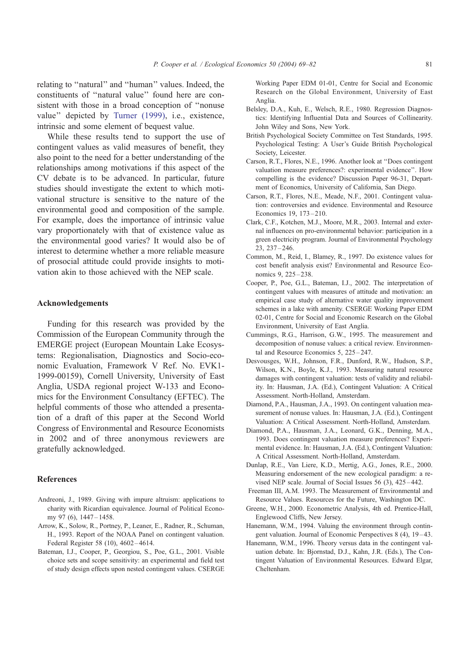<span id="page-12-0"></span>relating to ''natural'' and ''human'' values. Indeed, the constituents of ''natural value'' found here are consistent with those in a broad conception of ''nonuse value'' depicted by [Turner \(1999\),](#page-13-0) i.e., existence, intrinsic and some element of bequest value.

While these results tend to support the use of contingent values as valid measures of benefit, they also point to the need for a better understanding of the relationships among motivations if this aspect of the CV debate is to be advanced. In particular, future studies should investigate the extent to which motivational structure is sensitive to the nature of the environmental good and composition of the sample. For example, does the importance of intrinsic value vary proportionately with that of existence value as the environmental good varies? It would also be of interest to determine whether a more reliable measure of prosocial attitude could provide insights to motivation akin to those achieved with the NEP scale.

## Acknowledgements

Funding for this research was provided by the Commission of the European Community through the EMERGE project (European Mountain Lake Ecosystems: Regionalisation, Diagnostics and Socio-economic Evaluation, Framework V Ref. No. EVK1- 1999-00159), Cornell University, University of East Anglia, USDA regional project W-133 and Economics for the Environment Consultancy (EFTEC). The helpful comments of those who attended a presentation of a draft of this paper at the Second World Congress of Environmental and Resource Economists in 2002 and of three anonymous reviewers are gratefully acknowledged.

## References

- Andreoni, J., 1989. Giving with impure altruism: applications to charity with Ricardian equivalence. Journal of Political Economy 97 (6), 1447-1458.
- Arrow, K., Solow, R., Portney, P., Leaner, E., Radner, R., Schuman, H., 1993. Report of the NOAA Panel on contingent valuation. Federal Register 58 (10), 4602 – 4614.
- Bateman, I.J., Cooper, P., Georgiou, S., Poe, G.L., 2001. Visible choice sets and scope sensitivity: an experimental and field test of study design effects upon nested contingent values. CSERGE

Working Paper EDM 01-01, Centre for Social and Economic Research on the Global Environment, University of East Anglia.

- Belsley, D.A., Kuh, E., Welsch, R.E., 1980. Regression Diagnostics: Identifying Influential Data and Sources of Collinearity. John Wiley and Sons, New York.
- British Psychological Society Committee on Test Standards, 1995. Psychological Testing: A User's Guide British Psychological Society, Leicester.
- Carson, R.T., Flores, N.E., 1996. Another look at ''Does contingent valuation measure preferences?: experimental evidence''. How compelling is the evidence? Discussion Paper 96-31, Department of Economics, University of California, San Diego.
- Carson, R.T., Flores, N.E., Meade, N.F., 2001. Contingent valuation: controversies and evidence. Environmental and Resource Economics 19, 173 – 210.
- Clark, C.F., Kotchen, M.J., Moore, M.R., 2003. Internal and external influences on pro-environmental behavior: participation in a green electricity program. Journal of Environmental Psychology 23, 237 – 246.
- Common, M., Reid, I., Blamey, R., 1997. Do existence values for cost benefit analysis exist? Environmental and Resource Economics 9, 225 – 238.
- Cooper, P., Poe, G.L., Bateman, I.J., 2002. The interpretation of contingent values with measures of attitude and motivation: an empirical case study of alternative water quality improvement schemes in a lake with amenity. CSERGE Working Paper EDM 02-01, Centre for Social and Economic Research on the Global Environment, University of East Anglia.
- Cummings, R.G., Harrison, G.W., 1995. The measurement and decomposition of nonuse values: a critical review. Environmental and Resource Economics 5, 225 – 247.
- Desvousges, W.H., Johnson, F.R., Dunford, R.W., Hudson, S.P., Wilson, K.N., Boyle, K.J., 1993. Measuring natural resource damages with contingent valuation: tests of validity and reliability. In: Hausman, J.A. (Ed.), Contingent Valuation: A Critical Assessment. North-Holland, Amsterdam.
- Diamond, P.A., Hausman, J.A., 1993. On contingent valuation measurement of nonuse values. In: Hausman, J.A. (Ed.), Contingent Valuation: A Critical Assessment. North-Holland, Amsterdam.
- Diamond, P.A., Hausman, J.A., Leonard, G.K., Denning, M.A., 1993. Does contingent valuation measure preferences? Experimental evidence. In: Hausman, J.A. (Ed.), Contingent Valuation: A Critical Assessment. North-Holland, Amsterdam.
- Dunlap, R.E., Van Liere, K.D., Mertig, A.G., Jones, R.E., 2000. Measuring endorsement of the new ecological paradigm: a revised NEP scale. Journal of Social Issues 56 (3), 425 – 442.
- Freeman III, A.M. 1993. The Measurement of Environmental and Resource Values. Resources for the Future, Washington DC.
- Greene, W.H., 2000. Econometric Analysis, 4th ed. Prentice-Hall, Englewood Cliffs, New Jersey.
- Hanemann, W.M., 1994. Valuing the environment through contingent valuation. Journal of Economic Perspectives 8 (4), 19 – 43.
- Hanemann, W.M., 1996. Theory versus data in the contingent valuation debate. In: Bjornstad, D.J., Kahn, J.R. (Eds.), The Contingent Valuation of Environmental Resources. Edward Elgar, Cheltenham.